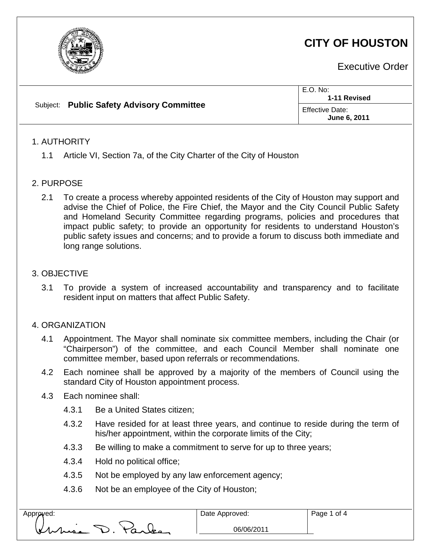

# **CITY OF HOUSTON**

Executive Order

| Subject: Public Safety Advisory Committee | E.O. No:<br>1-11 Revised               |
|-------------------------------------------|----------------------------------------|
|                                           | <b>Effective Date:</b><br>June 6, 2011 |

# 1. AUTHORITY

1.1 Article VI, Section 7a, of the City Charter of the City of Houston

#### 2. PURPOSE

2.1 To create a process whereby appointed residents of the City of Houston may support and advise the Chief of Police, the Fire Chief, the Mayor and the City Council Public Safety and Homeland Security Committee regarding programs, policies and procedures that impact public safety; to provide an opportunity for residents to understand Houston's public safety issues and concerns; and to provide a forum to discuss both immediate and long range solutions.

#### 3. OBJECTIVE

3.1 To provide a system of increased accountability and transparency and to facilitate resident input on matters that affect Public Safety.

#### 4. ORGANIZATION

- 4.1 Appointment. The Mayor shall nominate six committee members, including the Chair (or "Chairperson") of the committee, and each Council Member shall nominate one committee member, based upon referrals or recommendations.
- 4.2 Each nominee shall be approved by a majority of the members of Council using the standard City of Houston appointment process.
- 4.3 Each nominee shall:
	- 4.3.1 Be a United States citizen;
	- 4.3.2 Have resided for at least three years, and continue to reside during the term of his/her appointment, within the corporate limits of the City;
	- 4.3.3 Be willing to make a commitment to serve for up to three years;
	- 4.3.4 Hold no political office;
	- 4.3.5 Not be employed by any law enforcement agency;
	- 4.3.6 Not be an employee of the City of Houston;

| Approved: |        |  |
|-----------|--------|--|
| Virkisa   | Varles |  |

06/06/2011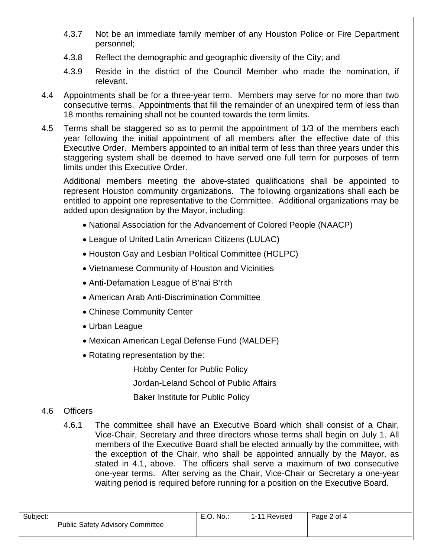- 4.3.7 Not be an immediate family member of any Houston Police or Fire Department personnel;
- 4.3.8 Reflect the demographic and geographic diversity of the City; and
- 4.3.9 Reside in the district of the Council Member who made the nomination, if relevant.
- 4.4 Appointments shall be for a three-year term. Members may serve for no more than two consecutive terms. Appointments that fill the remainder of an unexpired term of less than 18 months remaining shall not be counted towards the term limits.
- 4.5 Terms shall be staggered so as to permit the appointment of 1/3 of the members each year following the initial appointment of all members after the effective date of this Executive Order. Members appointed to an initial term of less than three years under this staggering system shall be deemed to have served one full term for purposes of term limits under this Executive Order.

Additional members meeting the above-stated qualifications shall be appointed to represent Houston community organizations. The following organizations shall each be entitled to appoint one representative to the Committee. Additional organizations may be added upon designation by the Mayor, including:

- National Association for the Advancement of Colored People (NAACP)
- League of United Latin American Citizens (LULAC)
- Houston Gay and Lesbian Political Committee (HGLPC)
- Vietnamese Community of Houston and Vicinities
- Anti-Defamation League of B'nai B'rith
- American Arab Anti-Discrimination Committee
- Chinese Community Center
- Urban League
- Mexican American Legal Defense Fund (MALDEF)
- Rotating representation by the:

Hobby Center for Public Policy Jordan-Leland School of Public Affairs Baker Institute for Public Policy

# 4.6 Officers

4.6.1 The committee shall have an Executive Board which shall consist of a Chair, Vice-Chair, Secretary and three directors whose terms shall begin on July 1. All members of the Executive Board shall be elected annually by the committee, with the exception of the Chair, who shall be appointed annually by the Mayor, as stated in 4.1, above. The officers shall serve a maximum of two consecutive one-year terms. After serving as the Chair, Vice-Chair or Secretary a one-year waiting period is required before running for a position on the Executive Board.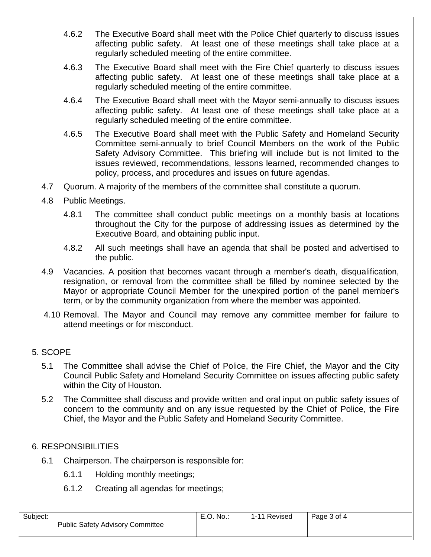- 4.6.2 The Executive Board shall meet with the Police Chief quarterly to discuss issues affecting public safety. At least one of these meetings shall take place at a regularly scheduled meeting of the entire committee.
- 4.6.3 The Executive Board shall meet with the Fire Chief quarterly to discuss issues affecting public safety. At least one of these meetings shall take place at a regularly scheduled meeting of the entire committee.
- 4.6.4 The Executive Board shall meet with the Mayor semi-annually to discuss issues affecting public safety. At least one of these meetings shall take place at a regularly scheduled meeting of the entire committee.
- 4.6.5 The Executive Board shall meet with the Public Safety and Homeland Security Committee semi-annually to brief Council Members on the work of the Public Safety Advisory Committee. This briefing will include but is not limited to the issues reviewed, recommendations, lessons learned, recommended changes to policy, process, and procedures and issues on future agendas.
- 4.7 Quorum. A majority of the members of the committee shall constitute a quorum.
- 4.8 Public Meetings.
	- 4.8.1 The committee shall conduct public meetings on a monthly basis at locations throughout the City for the purpose of addressing issues as determined by the Executive Board, and obtaining public input.
	- 4.8.2 All such meetings shall have an agenda that shall be posted and advertised to the public.
- 4.9 Vacancies. A position that becomes vacant through a member's death, disqualification, resignation, or removal from the committee shall be filled by nominee selected by the Mayor or appropriate Council Member for the unexpired portion of the panel member's term, or by the community organization from where the member was appointed.
- 4.10 Removal. The Mayor and Council may remove any committee member for failure to attend meetings or for misconduct.

# 5. SCOPE

- 5.1 The Committee shall advise the Chief of Police, the Fire Chief, the Mayor and the City Council Public Safety and Homeland Security Committee on issues affecting public safety within the City of Houston.
- 5.2 The Committee shall discuss and provide written and oral input on public safety issues of concern to the community and on any issue requested by the Chief of Police, the Fire Chief, the Mayor and the Public Safety and Homeland Security Committee.

# 6. RESPONSIBILITIES

- 6.1 Chairperson. The chairperson is responsible for:
	- 6.1.1 Holding monthly meetings;
	- 6.1.2 Creating all agendas for meetings;